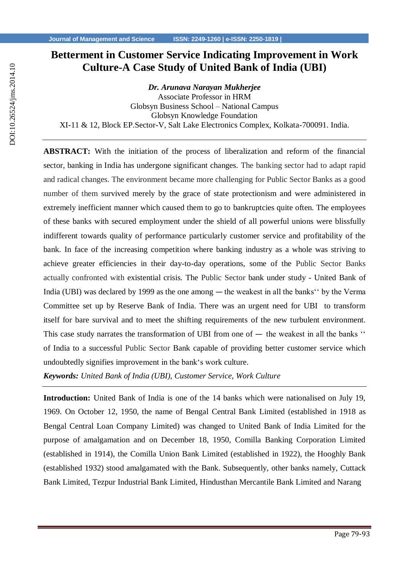# **Betterment in Customer Service Indicating Improvement in Work Culture-A Case Study of United Bank of India (UBI)**

*Dr. Arunava Narayan Mukherjee* Associate Professor in HRM Globsyn Business School – National Campus Globsyn Knowledge Foundation XI-11 & 12, Block EP.Sector-V, Salt Lake Electronics Complex, Kolkata-700091. India.

**ABSTRACT:** With the initiation of the process of liberalization and reform of the financial sector, banking in India has undergone significant changes. The banking sector had to adapt rapid and radical changes. The environment became more challenging for Public Sector Banks as a good number of them survived merely by the grace of state protectionism and were administered in extremely inefficient manner which caused them to go to bankruptcies quite often. The employees of these banks with secured employment under the shield of all powerful unions were blissfully indifferent towards quality of performance particularly customer service and profitability of the bank. In face of the increasing competition where banking industry as a whole was striving to achieve greater efficiencies in their day-to-day operations, some of the Public Sector Banks actually confronted with existential crisis. The Public Sector bank under study - United Bank of India (UBI) was declared by 1999 as the one among ― the weakest in all the banks'' by the Verma Committee set up by Reserve Bank of India. There was an urgent need for UBI to transform itself for bare survival and to meet the shifting requirements of the new turbulent environment. This case study narrates the transformation of UBI from one of  $-$  the weakest in all the banks " of India to a successful Public Sector Bank capable of providing better customer service which undoubtedly signifies improvement in the bank's work culture.

*Keywords: United Bank of India (UBI), Customer Service, Work Culture*

**Introduction:** United Bank of India is one of the 14 banks which were nationalised on July 19, 1969. On October 12, 1950, the name of Bengal Central Bank Limited (established in 1918 as Bengal Central Loan Company Limited) was changed to United Bank of India Limited for the purpose of amalgamation and on December 18, 1950, Comilla Banking Corporation Limited (established in 1914), the Comilla Union Bank Limited (established in 1922), the Hooghly Bank (established 1932) stood amalgamated with the Bank. Subsequently, other banks namely, Cuttack Bank Limited, Tezpur Industrial Bank Limited, Hindusthan Mercantile Bank Limited and Narang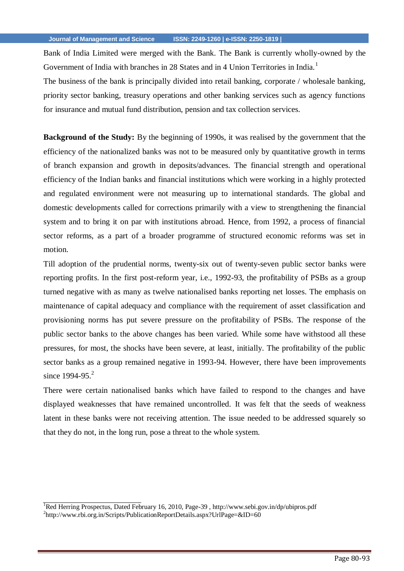Bank of India Limited were merged with the Bank. The Bank is currently wholly-owned by the Government of India with branches in 28 States and in 4 Union Territories in India.<sup>1</sup>

The business of the bank is principally divided into retail banking, corporate / wholesale banking, priority sector banking, treasury operations and other banking services such as agency functions for insurance and mutual fund distribution, pension and tax collection services.

**Background of the Study:** By the beginning of 1990s, it was realised by the government that the efficiency of the nationalized banks was not to be measured only by quantitative growth in terms of branch expansion and growth in deposits/advances. The financial strength and operational efficiency of the Indian banks and financial institutions which were working in a highly protected and regulated environment were not measuring up to international standards. The global and domestic developments called for corrections primarily with a view to strengthening the financial system and to bring it on par with institutions abroad. Hence, from 1992, a process of financial sector reforms, as a part of a broader programme of structured economic reforms was set in motion.

Till adoption of the prudential norms, twenty-six out of twenty-seven public sector banks were reporting profits. In the first post-reform year, i.e., 1992-93, the profitability of PSBs as a group turned negative with as many as twelve nationalised banks reporting net losses. The emphasis on maintenance of capital adequacy and compliance with the requirement of asset classification and provisioning norms has put severe pressure on the profitability of PSBs. The response of the public sector banks to the above changes has been varied. While some have withstood all these pressures, for most, the shocks have been severe, at least, initially. The profitability of the public sector banks as a group remained negative in 1993-94. However, there have been improvements since  $1994 - 95.2$ 

There were certain nationalised banks which have failed to respond to the changes and have displayed weaknesses that have remained uncontrolled. It was felt that the seeds of weakness latent in these banks were not receiving attention. The issue needed to be addressed squarely so that they do not, in the long run, pose a threat to the whole system.

<sup>1</sup>Red Herring Prospectus, Dated February 16, 2010, Page-39 ,<http://www.sebi.gov.in/dp/ubipros.pdf> <sup>2</sup>[http://www.rbi.org.in/Scripts/PublicationReportDetails.aspx?UrlPage=&ID=60](http://www.rbi.org.in/Scripts/PublicationReportDetails.aspx?UrlPage&ID=60)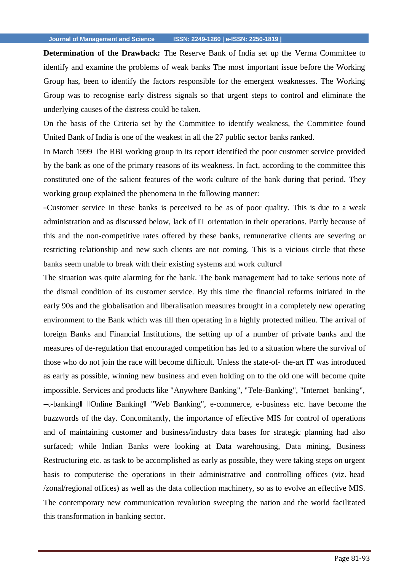**Determination of the Drawback:** The Reserve Bank of India set up the Verma Committee to identify and examine the problems of weak banks The most important issue before the Working Group has, been to identify the factors responsible for the emergent weaknesses. The Working Group was to recognise early distress signals so that urgent steps to control and eliminate the underlying causes of the distress could be taken.

On the basis of the Criteria set by the Committee to identify weakness, the Committee found United Bank of India is one of the weakest in all the 27 public sector banks ranked.

In March 1999 The RBI working group in its report identified the poor customer service provided by the bank as one of the primary reasons of its weakness. In fact, according to the committee this constituted one of the salient features of the work culture of the bank during that period. They working group explained the phenomena in the following manner:

―Customer service in these banks is perceived to be as of poor quality. This is due to a weak administration and as discussed below, lack of IT orientation in their operations. Partly because of this and the non-competitive rates offered by these banks, remunerative clients are severing or restricting relationship and new such clients are not coming. This is a vicious circle that these banks seem unable to break with their existing systems and work culturel

The situation was quite alarming for the bank. The bank management had to take serious note of the dismal condition of its customer service. By this time the financial reforms initiated in the early 90s and the globalisation and liberalisation measures brought in a completely new operating environment to the Bank which was till then operating in a highly protected milieu. The arrival of foreign Banks and Financial Institutions, the setting up of a number of private banks and the measures of de-regulation that encouraged competition has led to a situation where the survival of those who do not join the race will become difficult. Unless the state-of- the-art IT was introduced as early as possible, winning new business and even holding on to the old one will become quite impossible. Services and products like "Anywhere Banking", "Tele-Banking", "Internet banking", ―e-banking‖ ‖Online Banking‖ "Web Banking", e-commerce, e-business etc. have become the buzzwords of the day. Concomitantly, the importance of effective MIS for control of operations and of maintaining customer and business/industry data bases for strategic planning had also surfaced; while Indian Banks were looking at Data warehousing, Data mining, Business Restructuring etc. as task to be accomplished as early as possible, they were taking steps on urgent basis to computerise the operations in their administrative and controlling offices (viz. head /zonal/regional offices) as well as the data collection machinery, so as to evolve an effective MIS. The contemporary new communication revolution sweeping the nation and the world facilitated this transformation in banking sector.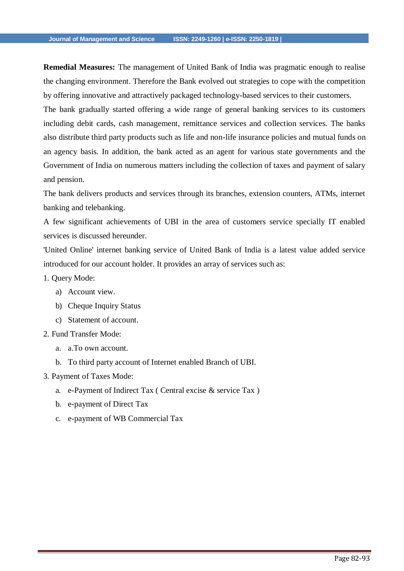**Remedial Measures:** The management of United Bank of India was pragmatic enough to realise the changing environment. Therefore the Bank evolved out strategies to cope with the competition by offering innovative and attractively packaged technology-based services to their customers.

The bank gradually started offering a wide range of general banking services to its customers including debit cards, cash management, remittance services and collection services. The banks also distribute third party products such as life and non-life insurance policies and mutual funds on an agency basis. In addition, the bank acted as an agent for various state governments and the Government of India on numerous matters including the collection of taxes and payment of salary and pension.

The bank delivers products and services through its branches, extension counters, ATMs, internet banking and telebanking.

A few significant achievements of UBI in the area of customers service specially IT enabled services is discussed hereunder.

'United Online' internet banking service of United Bank of India is a latest value added service introduced for our account holder. It provides an array of services such as:

- 1. Query Mode:
	- a) Account view.
	- b) Cheque Inquiry Status
	- c) Statement of account.
- 2. Fund Transfer Mode:
	- a. a.To own account.
	- b. To third party account of Internet enabled Branch of UBI.
- 3. Payment of Taxes Mode:
	- a. e-Payment of Indirect Tax ( Central excise & service Tax )
	- b. e-payment of Direct Tax
	- c. e-payment of WB Commercial Tax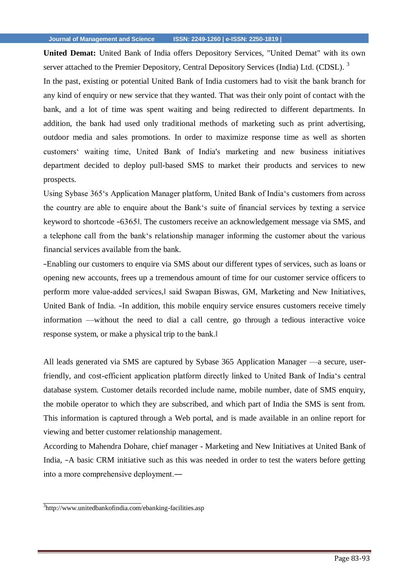**United Demat:** United Bank of India offers Depository Services, "United Demat" with its own server attached to the Premier Depository, Central Depository Services (India) Ltd. (CDSL).<sup>3</sup>

In the past, existing or potential United Bank of India customers had to visit the bank branch for any kind of enquiry or new service that they wanted. That was their only point of contact with the bank, and a lot of time was spent waiting and being redirected to different departments. In addition, the bank had used only traditional methods of marketing such as print advertising, outdoor media and sales promotions. In order to maximize response time as well as shorten customers' waiting time, United Bank of India's marketing and new business initiatives department decided to deploy pull-based SMS to market their products and services to new prospects.

Using Sybase 365's Application Manager platform, United Bank of India's customers from across the country are able to enquire about the Bank's suite of financial services by texting a service keyword to shortcode ―6365‖. The customers receive an acknowledgement message via SMS, and a telephone call from the bank's relationship manager informing the customer about the various financial services available from the bank.

―Enabling our customers to enquire via SMS about our different types of services, such as loans or opening new accounts, frees up a tremendous amount of time for our customer service officers to perform more value-added services,‖ said Swapan Biswas, GM, Marketing and New Initiatives, United Bank of India. ―In addition, this mobile enquiry service ensures customers receive timely information —without the need to dial a call centre, go through a tedious interactive voice response system, or make a physical trip to the bank.‖

All leads generated via SMS are captured by Sybase 365 Application Manager —a secure, userfriendly, and cost-efficient application platform directly linked to United Bank of India's central database system. Customer details recorded include name, mobile number, date of SMS enquiry, the mobile operator to which they are subscribed, and which part of India the SMS is sent from. This information is captured through a Web portal, and is made available in an online report for viewing and better customer relationship management.

According to Mahendra Dohare, chief manager - Marketing and New Initiatives at United Bank of India,  $-A$  basic CRM initiative such as this was needed in order to test the waters before getting into a more comprehensive deployment.―

<sup>&</sup>lt;sup>3</sup><http://www.unitedbankofindia.com/ebanking-facilities.asp>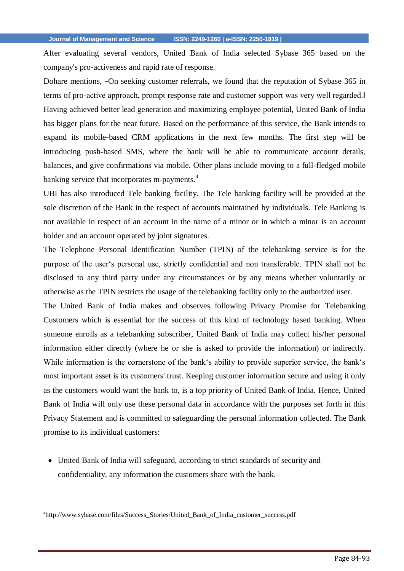After evaluating several vendors, United Bank of India selected Sybase 365 based on the company's pro-activeness and rapid rate of response.

Dohare mentions, -On seeking customer referrals, we found that the reputation of Sybase 365 in terms of pro-active approach, prompt response rate and customer support was very well regarded.‖ Having achieved better lead generation and maximizing employee potential, United Bank of India has bigger plans for the near future. Based on the performance of this service, the Bank intends to expand its mobile-based CRM applications in the next few months. The first step will be introducing push-based SMS, where the bank will be able to communicate account details, balances, and give confirmations via mobile. Other plans include moving to a full-fledged mobile banking service that incorporates m-payments.<sup>4</sup>

UBI has also introduced Tele banking facility. The Tele banking facility will be provided at the sole discretion of the Bank in the respect of accounts maintained by individuals. Tele Banking is not available in respect of an account in the name of a minor or in which a minor is an account holder and an account operated by joint signatures.

The Telephone Personal Identification Number (TPIN) of the telebanking service is for the purpose of the user's personal use, strictly confidential and non transferable. TPIN shall not be disclosed to any third party under any circumstances or by any means whether voluntarily or otherwise as the TPIN restricts the usage of the telebanking facility only to the authorized user.

The United Bank of India makes and observes following Privacy Promise for Telebanking Customers which is essential for the success of this kind of technology based banking. When someone enrolls as a telebanking subscriber, United Bank of India may collect his/her personal information either directly (where he or she is asked to provide the information) or indirectly. While information is the cornerstone of the bank's ability to provide superior service, the bank's most important asset is its customers' trust. Keeping customer information secure and using it only as the customers would want the bank to, is a top priority of United Bank of India. Hence, United Bank of India will only use these personal data in accordance with the purposes set forth in this Privacy Statement and is committed to safeguarding the personal information collected. The Bank promise to its individual customers:

 United Bank of India will safeguard, according to strict standards of security and confidentiality, any information the customers share with the bank.

<sup>4</sup> [http://www.sybase.com/files/Success\\_Stories/United\\_Bank\\_of\\_India\\_customer\\_success.pdf](http://www.sybase.com/files/Success_Stories/United_Bank_of_India_customer_success.pdf)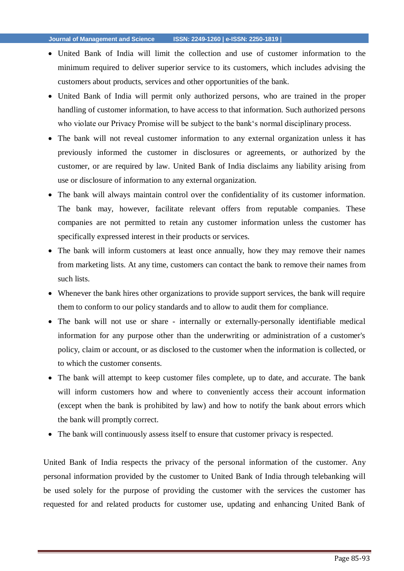- United Bank of India will limit the collection and use of customer information to the minimum required to deliver superior service to its customers, which includes advising the customers about products, services and other opportunities of the bank.
- United Bank of India will permit only authorized persons, who are trained in the proper handling of customer information, to have access to that information. Such authorized persons who violate our Privacy Promise will be subject to the bank's normal disciplinary process.
- The bank will not reveal customer information to any external organization unless it has previously informed the customer in disclosures or agreements, or authorized by the customer, or are required by law. United Bank of India disclaims any liability arising from use or disclosure of information to any external organization.
- The bank will always maintain control over the confidentiality of its customer information. The bank may, however, facilitate relevant offers from reputable companies. These companies are not permitted to retain any customer information unless the customer has specifically expressed interest in their products or services.
- The bank will inform customers at least once annually, how they may remove their names from marketing lists. At any time, customers can contact the bank to remove their names from such lists.
- Whenever the bank hires other organizations to provide support services, the bank will require them to conform to our policy standards and to allow to audit them for compliance.
- The bank will not use or share internally or externally-personally identifiable medical information for any purpose other than the underwriting or administration of a customer's policy, claim or account, or as disclosed to the customer when the information is collected, or to which the customer consents.
- The bank will attempt to keep customer files complete, up to date, and accurate. The bank will inform customers how and where to conveniently access their account information (except when the bank is prohibited by law) and how to notify the bank about errors which the bank will promptly correct.
- The bank will continuously assess itself to ensure that customer privacy is respected.

United Bank of India respects the privacy of the personal information of the customer. Any personal information provided by the customer to United Bank of India through telebanking will be used solely for the purpose of providing the customer with the services the customer has requested for and related products for customer use, updating and enhancing United Bank of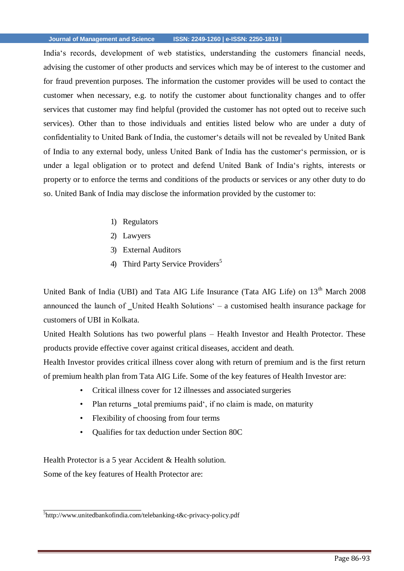India's records, development of web statistics, understanding the customers financial needs, advising the customer of other products and services which may be of interest to the customer and for fraud prevention purposes. The information the customer provides will be used to contact the customer when necessary, e.g. to notify the customer about functionality changes and to offer services that customer may find helpful (provided the customer has not opted out to receive such services). Other than to those individuals and entities listed below who are under a duty of confidentiality to United Bank of India, the customer's details will not be revealed by United Bank of India to any external body, unless United Bank of India has the customer's permission, or is under a legal obligation or to protect and defend United Bank of India's rights, interests or property or to enforce the terms and conditions of the products or services or any other duty to do so. United Bank of India may disclose the information provided by the customer to:

- 1) Regulators
- 2) Lawyers
- 3) External Auditors
- 4) Third Party Service Providers<sup>5</sup>

United Bank of India (UBI) and Tata AIG Life Insurance (Tata AIG Life) on 13<sup>th</sup> March 2008 announced the launch of \_United Health Solutions' – a customised health insurance package for customers of UBI in Kolkata.

United Health Solutions has two powerful plans – Health Investor and Health Protector. These products provide effective cover against critical diseases, accident and death.

Health Investor provides critical illness cover along with return of premium and is the first return of premium health plan from Tata AIG Life. Some of the key features of Health Investor are:

- Critical illness cover for 12 illnesses and associated surgeries
- Plan returns total premiums paid', if no claim is made, on maturity
- Flexibility of choosing from four terms
- Qualifies for tax deduction under Section 80C

Health Protector is a 5 year Accident & Health solution.

Some of the key features of Health Protector are:

<sup>5</sup> [http://www.unitedbankofindia.com/telebanking-t&c-privacy-policy.pdf](http://www.unitedbankofindia.com/telebanking-t%26c-privacy-policy.pdf)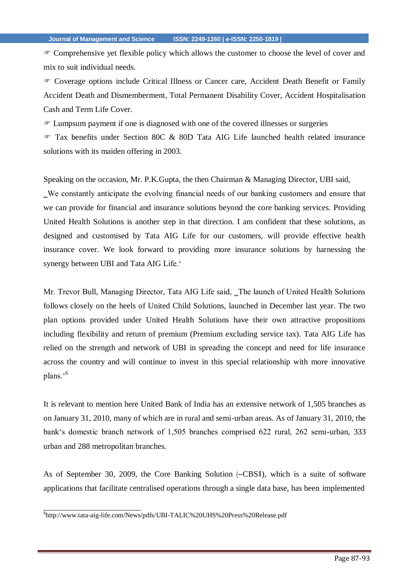Comprehensive yet flexible policy which allows the customer to choose the level of cover and mix to suit individual needs.

 Coverage options include Critical Illness or Cancer care, Accident Death Benefit or Family Accident Death and Dismemberment, Total Permanent Disability Cover, Accident Hospitalisation Cash and Term Life Cover.

Lumpsum payment if one is diagnosed with one of the covered illnesses or surgeries

 Tax benefits under Section 80C & 80D Tata AIG Life launched health related insurance solutions with its maiden offering in 2003.

Speaking on the occasion, Mr. P.K.Gupta, the then Chairman & Managing Director, UBI said,

‗We constantly anticipate the evolving financial needs of our banking customers and ensure that we can provide for financial and insurance solutions beyond the core banking services. Providing United Health Solutions is another step in that direction. I am confident that these solutions, as designed and customised by Tata AIG Life for our customers, will provide effective health insurance cover. We look forward to providing more insurance solutions by harnessing the synergy between UBI and Tata AIG Life.'

Mr. Trevor Bull, Managing Director, Tata AIG Life said, The launch of United Health Solutions follows closely on the heels of United Child Solutions, launched in December last year. The two plan options provided under United Health Solutions have their own attractive propositions including flexibility and return of premium (Premium excluding service tax). Tata AIG Life has relied on the strength and network of UBI in spreading the concept and need for life insurance across the country and will continue to invest in this special relationship with more innovative plans.'<sup>6</sup>

It is relevant to mention here United Bank of India has an extensive network of 1,505 branches as on January 31, 2010, many of which are in rural and semi-urban areas. As of January 31, 2010, the bank's domestic branch network of 1,505 branches comprised 622 rural, 262 semi-urban, 333 urban and 288 metropolitan branches.

As of September 30, 2009, the Core Banking Solution (―CBS‖), which is a suite of software applications that facilitate centralised operations through a single data base, has been implemented

<sup>6</sup> <http://www.tata-aig-life.com/News/pdfs/UBI-TALIC%20UHS%20Press%20Release.pdf>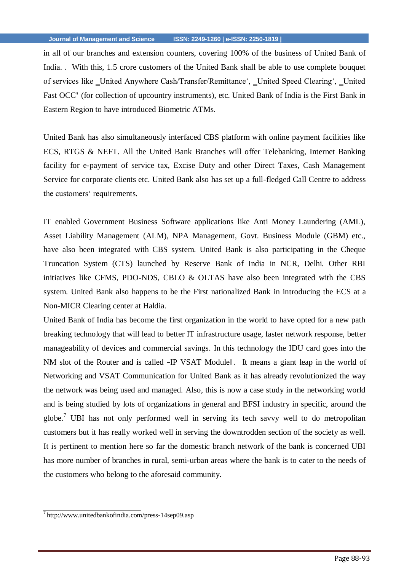in all of our branches and extension counters, covering 100% of the business of United Bank of India. . With this, 1.5 crore customers of the United Bank shall be able to use complete bouquet of services like \_United Anywhere Cash/Transfer/Remittance', \_United Speed Clearing', \_United Fast OCC<sup></sup> (for collection of upcountry instruments), etc. United Bank of India is the First Bank in Eastern Region to have introduced Biometric ATMs.

United Bank has also simultaneously interfaced CBS platform with online payment facilities like ECS, RTGS & NEFT. All the United Bank Branches will offer Telebanking, Internet Banking facility for e-payment of service tax, Excise Duty and other Direct Taxes, Cash Management Service for corporate clients etc. United Bank also has set up a full-fledged Call Centre to address the customers' requirements.

IT enabled Government Business Software applications like Anti Money Laundering (AML), Asset Liability Management (ALM), NPA Management, Govt. Business Module (GBM) etc., have also been integrated with CBS system. United Bank is also participating in the Cheque Truncation System (CTS) launched by Reserve Bank of India in NCR, Delhi. Other RBI initiatives like CFMS, PDO-NDS, CBLO & OLTAS have also been integrated with the CBS system. United Bank also happens to be the First nationalized Bank in introducing the ECS at a Non-MICR Clearing center at Haldia.

United Bank of India has become the first organization in the world to have opted for a new path breaking technology that will lead to better IT infrastructure usage, faster network response, better manageability of devices and commercial savings. In this technology the IDU card goes into the NM slot of the Router and is called -IP VSAT Modulel. It means a giant leap in the world of Networking and VSAT Communication for United Bank as it has already revolutionized the way the network was being used and managed. Also, this is now a case study in the networking world and is being studied by lots of organizations in general and BFSI industry in specific, around the globe.<sup>7</sup> UBI has not only performed well in serving its tech savvy well to do metropolitan customers but it has really worked well in serving the downtrodden section of the society as well. It is pertinent to mention here so far the domestic branch network of the bank is concerned UBI has more number of branches in rural, semi-urban areas where the bank is to cater to the needs of the customers who belong to the aforesaid community.

<sup>7</sup><http://www.unitedbankofindia.com/press-14sep09.asp>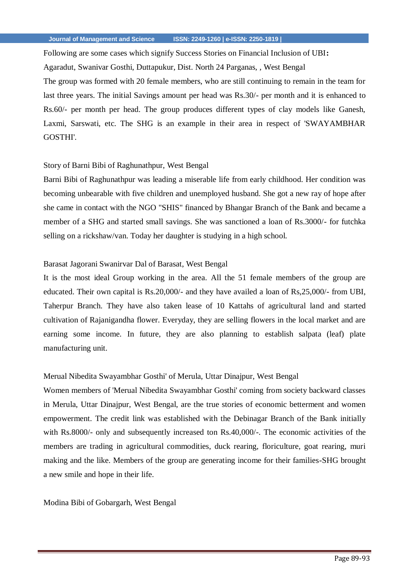Following are some cases which signify Success Stories on Financial Inclusion of UBI**:** 

Agaradut, Swanivar Gosthi, Duttapukur, Dist. North 24 Parganas, , West Bengal

The group was formed with 20 female members, who are still continuing to remain in the team for last three years. The initial Savings amount per head was Rs.30/- per month and it is enhanced to Rs.60/- per month per head. The group produces different types of clay models like Ganesh, Laxmi, Sarswati, etc. The SHG is an example in their area in respect of 'SWAYAMBHAR GOSTHI'.

### Story of Barni Bibi of Raghunathpur, West Bengal

Barni Bibi of Raghunathpur was leading a miserable life from early childhood. Her condition was becoming unbearable with five children and unemployed husband. She got a new ray of hope after she came in contact with the NGO "SHIS" financed by Bhangar Branch of the Bank and became a member of a SHG and started small savings. She was sanctioned a loan of Rs.3000/- for futchka selling on a rickshaw/van. Today her daughter is studying in a high school.

# Barasat Jagorani Swanirvar Dal of Barasat, West Bengal

It is the most ideal Group working in the area. All the 51 female members of the group are educated. Their own capital is Rs.20,000/- and they have availed a loan of Rs,25,000/- from UBI, Taherpur Branch. They have also taken lease of 10 Kattahs of agricultural land and started cultivation of Rajanigandha flower. Everyday, they are selling flowers in the local market and are earning some income. In future, they are also planning to establish salpata (leaf) plate manufacturing unit.

## Merual Nibedita Swayambhar Gosthi' of Merula, Uttar Dinajpur, West Bengal

Women members of 'Merual Nibedita Swayambhar Gosthi' coming from society backward classes in Merula, Uttar Dinajpur, West Bengal, are the true stories of economic betterment and women empowerment. The credit link was established with the Debinagar Branch of the Bank initially with Rs.8000/- only and subsequently increased ton Rs.40,000/-. The economic activities of the members are trading in agricultural commodities, duck rearing, floriculture, goat rearing, muri making and the like. Members of the group are generating income for their families-SHG brought a new smile and hope in their life.

Modina Bibi of Gobargarh, West Bengal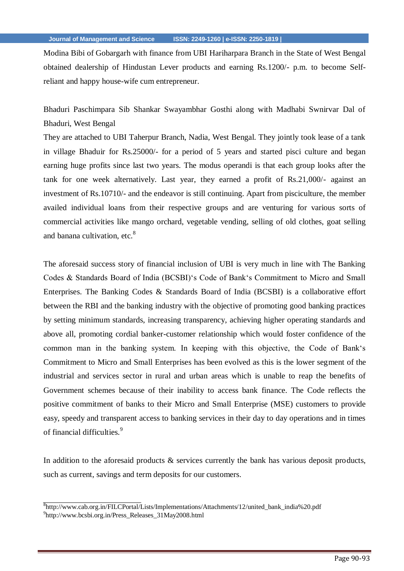Modina Bibi of Gobargarh with finance from UBI Hariharpara Branch in the State of West Bengal obtained dealership of Hindustan Lever products and earning Rs.1200/- p.m. to become Selfreliant and happy house-wife cum entrepreneur.

Bhaduri Paschimpara Sib Shankar Swayambhar Gosthi along with Madhabi Swnirvar Dal of Bhaduri, West Bengal

They are attached to UBI Taherpur Branch, Nadia, West Bengal. They jointly took lease of a tank in village Bhaduir for Rs.25000/- for a period of 5 years and started pisci culture and began earning huge profits since last two years. The modus operandi is that each group looks after the tank for one week alternatively. Last year, they earned a profit of Rs.21,000/- against an investment of Rs.10710/- and the endeavor is still continuing. Apart from pisciculture, the member availed individual loans from their respective groups and are venturing for various sorts of commercial activities like mango orchard, vegetable vending, selling of old clothes, goat selling and banana cultivation, etc. $8<sup>8</sup>$ 

The aforesaid success story of financial inclusion of UBI is very much in line with The Banking Codes & Standards Board of India (BCSBI)'s Code of Bank's Commitment to Micro and Small Enterprises. The Banking Codes & Standards Board of India (BCSBI) is a collaborative effort between the RBI and the banking industry with the objective of promoting good banking practices by setting minimum standards, increasing transparency, achieving higher operating standards and above all, promoting cordial banker-customer relationship which would foster confidence of the common man in the banking system. In keeping with this objective, the Code of Bank's Commitment to Micro and Small Enterprises has been evolved as this is the lower segment of the industrial and services sector in rural and urban areas which is unable to reap the benefits of Government schemes because of their inability to access bank finance. The Code reflects the positive commitment of banks to their Micro and Small Enterprise (MSE) customers to provide easy, speedy and transparent access to banking services in their day to day operations and in times of financial difficulties.<sup>9</sup>

In addition to the aforesaid products  $\&$  services currently the bank has various deposit products, such as current, savings and term deposits for our customers.

<sup>8</sup> [http://www.cab.org.in/FILCPortal/Lists/Implementations/Attachments/12/united\\_bank\\_india%20.pdf](http://www.cab.org.in/FILCPortal/Lists/Implementations/Attachments/12/united_bank_india%20.pdf) 9 [http://www.bcsbi.org.in/Press\\_Releases\\_31May2008.html](http://www.bcsbi.org.in/Press_Releases_31May2008.html)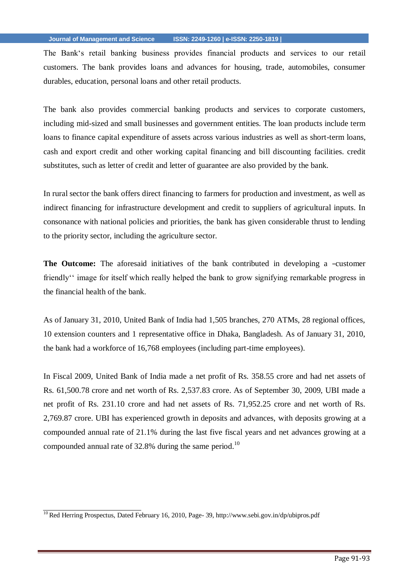The Bank's retail banking business provides financial products and services to our retail customers. The bank provides loans and advances for housing, trade, automobiles, consumer durables, education, personal loans and other retail products.

The bank also provides commercial banking products and services to corporate customers, including mid-sized and small businesses and government entities. The loan products include term loans to finance capital expenditure of assets across various industries as well as short-term loans, cash and export credit and other working capital financing and bill discounting facilities. credit substitutes, such as letter of credit and letter of guarantee are also provided by the bank.

In rural sector the bank offers direct financing to farmers for production and investment, as well as indirect financing for infrastructure development and credit to suppliers of agricultural inputs. In consonance with national policies and priorities, the bank has given considerable thrust to lending to the priority sector, including the agriculture sector.

**The Outcome:** The aforesaid initiatives of the bank contributed in developing a -customer friendly'' image for itself which really helped the bank to grow signifying remarkable progress in the financial health of the bank.

As of January 31, 2010, United Bank of India had 1,505 branches, 270 ATMs, 28 regional offices, 10 extension counters and 1 representative office in Dhaka, Bangladesh. As of January 31, 2010, the bank had a workforce of 16,768 employees (including part-time employees).

In Fiscal 2009, United Bank of India made a net profit of Rs. 358.55 crore and had net assets of Rs. 61,500.78 crore and net worth of Rs. 2,537.83 crore. As of September 30, 2009, UBI made a net profit of Rs. 231.10 crore and had net assets of Rs. 71,952.25 crore and net worth of Rs. 2,769.87 crore. UBI has experienced growth in deposits and advances, with deposits growing at a compounded annual rate of 21.1% during the last five fiscal years and net advances growing at a compounded annual rate of  $32.8\%$  during the same period.<sup>10</sup>

<sup>&</sup>lt;sup>10</sup> Red Herring Prospectus, Dated February 16, 2010, Page- 39,<http://www.sebi.gov.in/dp/ubipros.pdf>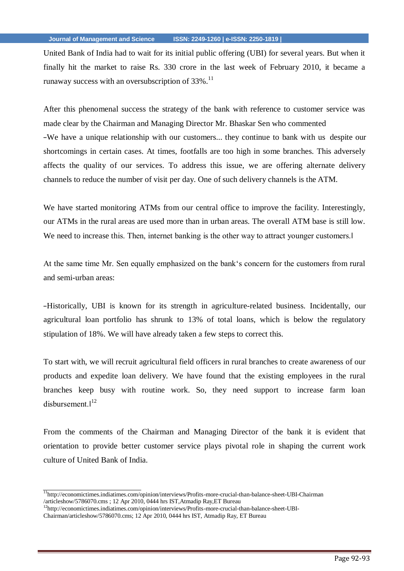United Bank of India had to wait for its initial public offering (UBI) for several years. But when it finally hit the market to raise Rs. 330 crore in the last week of February 2010, it became a runaway success with an oversubscription of  $33\%$ .<sup>11</sup>

After this phenomenal success the strategy of the bank with reference to customer service was made clear by the Chairman and Managing Director Mr. Bhaskar Sen who commented ―We have a unique relationship with our customers... they continue to bank with us despite our shortcomings in certain cases. At times, footfalls are too high in some branches. This adversely affects the quality of our services. To address this issue, we are offering alternate delivery channels to reduce the number of visit per day. One of such delivery channels is the ATM.

We have started monitoring ATMs from our central office to improve the facility. Interestingly, our ATMs in the rural areas are used more than in urban areas. The overall ATM base is still low. We need to increase this. Then, internet banking is the other way to attract younger customers.

At the same time Mr. Sen equally emphasized on the bank's concern for the customers from rural and semi-urban areas:

―Historically, UBI is known for its strength in agriculture-related business. Incidentally, our agricultural loan portfolio has shrunk to 13% of total loans, which is below the regulatory stipulation of 18%. We will have already taken a few steps to correct this.

To start with, we will recruit agricultural field officers in rural branches to create awareness of our products and expedite loan delivery. We have found that the existing employees in the rural branches keep busy with routine work. So, they need support to increase farm loan disbursement. $\mathbb{I}^{12}$ 

From the comments of the Chairman and Managing Director of the bank it is evident that orientation to provide better customer service plays pivotal role in shaping the current work culture of United Bank of India.

<sup>&</sup>lt;sup>11</sup><http://economictimes.indiatimes.com/opinion/interviews/Profits-more-crucial-than-balance-sheet-UBI-Chairman> /articleshow/5786070.cms ; 12 Apr 2010, 0444 hrs IST,Atmadip Ray,ET Bureau

<sup>12</sup><http://economictimes.indiatimes.com/opinion/interviews/Profits-more-crucial-than-balance-sheet-UBI->

Chairman/articleshow/5786070.cms; 12 Apr 2010, 0444 hrs IST, Atmadip Ray, ET Bureau